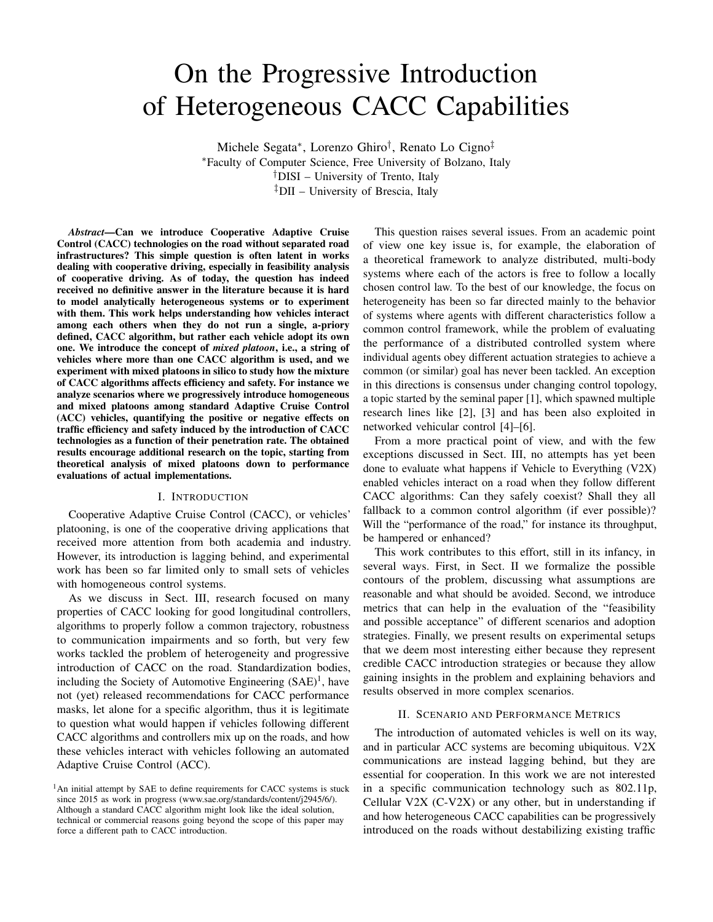# On the Progressive Introduction of Heterogeneous CACC Capabilities

Michele Segata<sup>∗</sup> , Lorenzo Ghiro† , Renato Lo Cigno‡ <sup>∗</sup>Faculty of Computer Science, Free University of Bolzano, Italy †DISI – University of Trento, Italy ‡DII – University of Brescia, Italy

*Abstract*—Can we introduce Cooperative Adaptive Cruise Control (CACC) technologies on the road without separated road infrastructures? This simple question is often latent in works dealing with cooperative driving, especially in feasibility analysis of cooperative driving. As of today, the question has indeed received no definitive answer in the literature because it is hard to model analytically heterogeneous systems or to experiment with them. This work helps understanding how vehicles interact among each others when they do not run a single, a-priory defined, CACC algorithm, but rather each vehicle adopt its own one. We introduce the concept of *mixed platoon*, i.e., a string of vehicles where more than one CACC algorithm is used, and we experiment with mixed platoons in silico to study how the mixture of CACC algorithms affects efficiency and safety. For instance we analyze scenarios where we progressively introduce homogeneous and mixed platoons among standard Adaptive Cruise Control (ACC) vehicles, quantifying the positive or negative effects on traffic efficiency and safety induced by the introduction of CACC technologies as a function of their penetration rate. The obtained results encourage additional research on the topic, starting from theoretical analysis of mixed platoons down to performance evaluations of actual implementations.

# I. INTRODUCTION

Cooperative Adaptive Cruise Control (CACC), or vehicles' platooning, is one of the cooperative driving applications that received more attention from both academia and industry. However, its introduction is lagging behind, and experimental work has been so far limited only to small sets of vehicles with homogeneous control systems.

As we discuss in Sect. III, research focused on many properties of CACC looking for good longitudinal controllers, algorithms to properly follow a common trajectory, robustness to communication impairments and so forth, but very few works tackled the problem of heterogeneity and progressive introduction of CACC on the road. Standardization bodies, including the Society of Automotive Engineering  $(SAE)^1$ , have not (yet) released recommendations for CACC performance masks, let alone for a specific algorithm, thus it is legitimate to question what would happen if vehicles following different CACC algorithms and controllers mix up on the roads, and how these vehicles interact with vehicles following an automated Adaptive Cruise Control (ACC).

This question raises several issues. From an academic point of view one key issue is, for example, the elaboration of a theoretical framework to analyze distributed, multi-body systems where each of the actors is free to follow a locally chosen control law. To the best of our knowledge, the focus on heterogeneity has been so far directed mainly to the behavior of systems where agents with different characteristics follow a common control framework, while the problem of evaluating the performance of a distributed controlled system where individual agents obey different actuation strategies to achieve a common (or similar) goal has never been tackled. An exception in this directions is consensus under changing control topology, a topic started by the seminal paper [1], which spawned multiple research lines like [2], [3] and has been also exploited in networked vehicular control [4]–[6].

From a more practical point of view, and with the few exceptions discussed in Sect. III, no attempts has yet been done to evaluate what happens if Vehicle to Everything (V2X) enabled vehicles interact on a road when they follow different CACC algorithms: Can they safely coexist? Shall they all fallback to a common control algorithm (if ever possible)? Will the "performance of the road," for instance its throughput, be hampered or enhanced?

This work contributes to this effort, still in its infancy, in several ways. First, in Sect. II we formalize the possible contours of the problem, discussing what assumptions are reasonable and what should be avoided. Second, we introduce metrics that can help in the evaluation of the "feasibility and possible acceptance" of different scenarios and adoption strategies. Finally, we present results on experimental setups that we deem most interesting either because they represent credible CACC introduction strategies or because they allow gaining insights in the problem and explaining behaviors and results observed in more complex scenarios.

### II. SCENARIO AND PERFORMANCE METRICS

The introduction of automated vehicles is well on its way, and in particular ACC systems are becoming ubiquitous. V2X communications are instead lagging behind, but they are essential for cooperation. In this work we are not interested in a specific communication technology such as 802.11p, Cellular V2X (C-V2X) or any other, but in understanding if and how heterogeneous CACC capabilities can be progressively introduced on the roads without destabilizing existing traffic

<sup>&</sup>lt;sup>1</sup>An initial attempt by SAE to define requirements for CACC systems is stuck since 2015 as work in progress (www.sae.org/standards/content/j2945/6/). Although a standard CACC algorithm might look like the ideal solution, technical or commercial reasons going beyond the scope of this paper may force a different path to CACC introduction.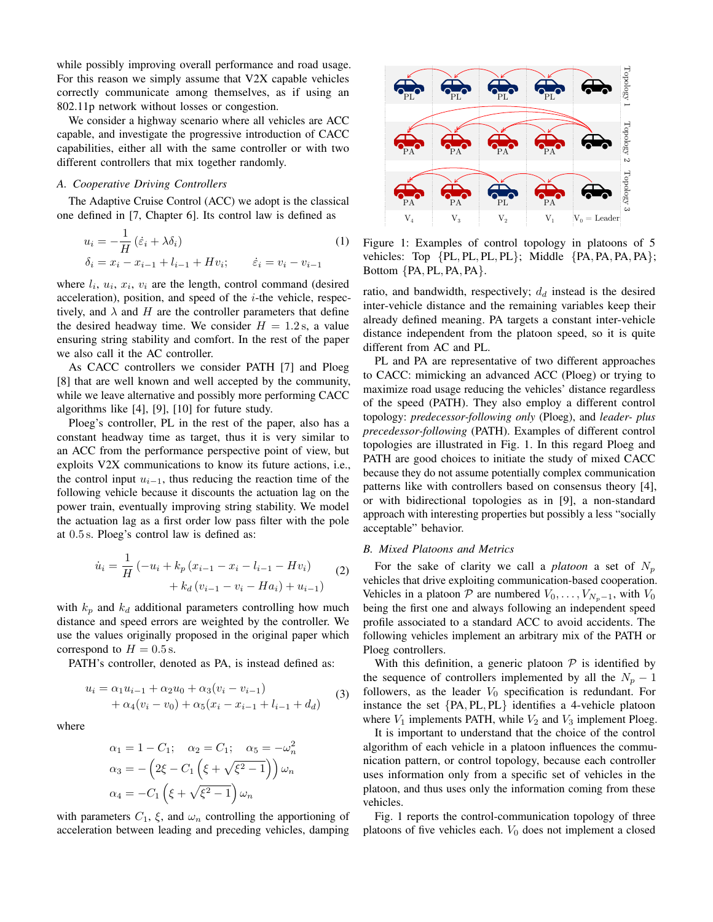while possibly improving overall performance and road usage. For this reason we simply assume that V2X capable vehicles correctly communicate among themselves, as if using an 802.11p network without losses or congestion.

We consider a highway scenario where all vehicles are ACC capable, and investigate the progressive introduction of CACC capabilities, either all with the same controller or with two different controllers that mix together randomly.

# *A. Cooperative Driving Controllers*

The Adaptive Cruise Control (ACC) we adopt is the classical one defined in [7, Chapter 6]. Its control law is defined as

$$
u_i = -\frac{1}{H} (\dot{\varepsilon}_i + \lambda \delta_i)
$$
  
\n
$$
\delta_i = x_i - x_{i-1} + l_{i-1} + Hv_i; \qquad \dot{\varepsilon}_i = v_i - v_{i-1}
$$
\n(1)

where  $l_i$ ,  $u_i$ ,  $x_i$ ,  $v_i$  are the length, control command (desired acceleration), position, and speed of the  $i$ -the vehicle, respectively, and  $\lambda$  and H are the controller parameters that define the desired headway time. We consider  $H = 1.2$  s, a value ensuring string stability and comfort. In the rest of the paper we also call it the AC controller.

As CACC controllers we consider PATH [7] and Ploeg [8] that are well known and well accepted by the community, while we leave alternative and possibly more performing CACC algorithms like [4], [9], [10] for future study.

Ploeg's controller, PL in the rest of the paper, also has a constant headway time as target, thus it is very similar to an ACC from the performance perspective point of view, but exploits V2X communications to know its future actions, i.e., the control input  $u_{i-1}$ , thus reducing the reaction time of the following vehicle because it discounts the actuation lag on the power train, eventually improving string stability. We model the actuation lag as a first order low pass filter with the pole at 0.5 s. Ploeg's control law is defined as:

$$
\dot{u}_i = \frac{1}{H} \left( -u_i + k_p \left( x_{i-1} - x_i - l_{i-1} - Hv_i \right) + k_d \left( v_{i-1} - v_i - Ha_i \right) + u_{i-1} \right) \tag{2}
$$

with  $k_p$  and  $k_d$  additional parameters controlling how much distance and speed errors are weighted by the controller. We use the values originally proposed in the original paper which correspond to  $H = 0.5$  s.

PATH's controller, denoted as PA, is instead defined as:

$$
u_i = \alpha_1 u_{i-1} + \alpha_2 u_0 + \alpha_3 (v_i - v_{i-1})
$$
  
+ 
$$
\alpha_4 (v_i - v_0) + \alpha_5 (x_i - x_{i-1} + l_{i-1} + d_d)
$$
 (3)

where

$$
\alpha_1 = 1 - C_1; \quad \alpha_2 = C_1; \quad \alpha_5 = -\omega_n^2
$$

$$
\alpha_3 = -\left(2\xi - C_1\left(\xi + \sqrt{\xi^2 - 1}\right)\right)\omega_n
$$

$$
\alpha_4 = -C_1\left(\xi + \sqrt{\xi^2 - 1}\right)\omega_n
$$

with parameters  $C_1$ ,  $\xi$ , and  $\omega_n$  controlling the apportioning of acceleration between leading and preceding vehicles, damping



Figure 1: Examples of control topology in platoons of 5 vehicles: Top {PL, PL, PL, PL}; Middle {PA, PA, PA, PA}; Bottom {PA, PL, PA, PA}.

ratio, and bandwidth, respectively;  $d_d$  instead is the desired inter-vehicle distance and the remaining variables keep their already defined meaning. PA targets a constant inter-vehicle distance independent from the platoon speed, so it is quite different from AC and PL.

PL and PA are representative of two different approaches to CACC: mimicking an advanced ACC (Ploeg) or trying to maximize road usage reducing the vehicles' distance regardless of the speed (PATH). They also employ a different control topology: *predecessor-following only* (Ploeg), and *leader- plus precedessor-following* (PATH). Examples of different control topologies are illustrated in Fig. 1. In this regard Ploeg and PATH are good choices to initiate the study of mixed CACC because they do not assume potentially complex communication patterns like with controllers based on consensus theory [4], or with bidirectional topologies as in [9], a non-standard approach with interesting properties but possibly a less "socially acceptable" behavior.

#### *B. Mixed Platoons and Metrics*

For the sake of clarity we call a *platoon* a set of  $N_p$ vehicles that drive exploiting communication-based cooperation. Vehicles in a platoon  $\mathcal P$  are numbered  $V_0, \ldots, V_{N_p-1}$ , with  $V_0$ being the first one and always following an independent speed profile associated to a standard ACC to avoid accidents. The following vehicles implement an arbitrary mix of the PATH or Ploeg controllers.

With this definition, a generic platoon  $P$  is identified by the sequence of controllers implemented by all the  $N_p - 1$ followers, as the leader  $V_0$  specification is redundant. For instance the set {PA, PL, PL} identifies a 4-vehicle platoon where  $V_1$  implements PATH, while  $V_2$  and  $V_3$  implement Ploeg.

It is important to understand that the choice of the control algorithm of each vehicle in a platoon influences the communication pattern, or control topology, because each controller uses information only from a specific set of vehicles in the platoon, and thus uses only the information coming from these vehicles.

Fig. 1 reports the control-communication topology of three platoons of five vehicles each.  $V_0$  does not implement a closed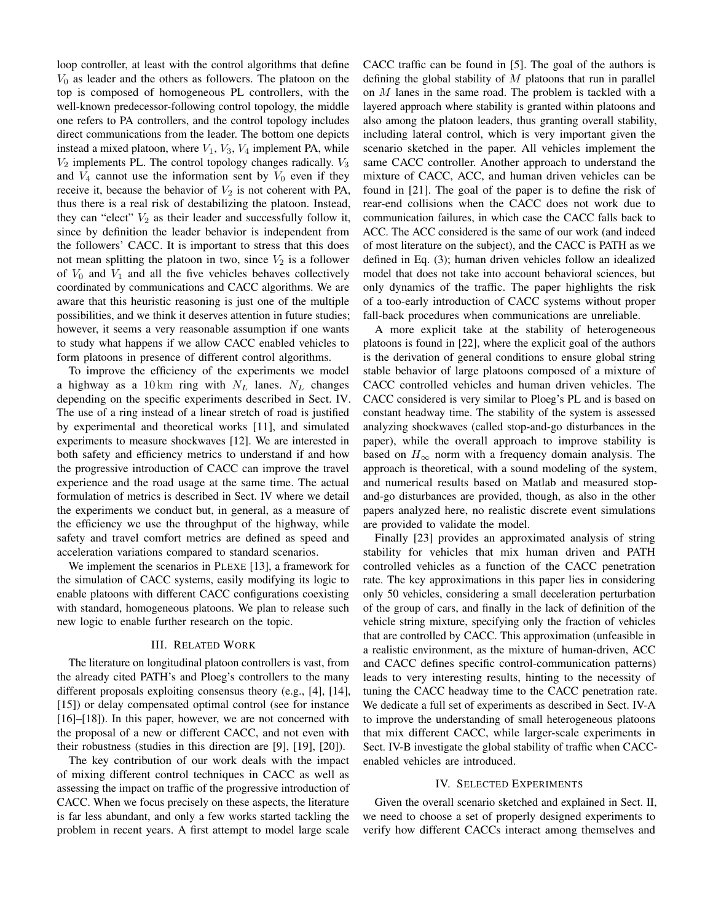loop controller, at least with the control algorithms that define  $V_0$  as leader and the others as followers. The platoon on the top is composed of homogeneous PL controllers, with the well-known predecessor-following control topology, the middle one refers to PA controllers, and the control topology includes direct communications from the leader. The bottom one depicts instead a mixed platoon, where  $V_1$ ,  $V_3$ ,  $V_4$  implement PA, while  $V_2$  implements PL. The control topology changes radically.  $V_3$ and  $V_4$  cannot use the information sent by  $V_0$  even if they receive it, because the behavior of  $V_2$  is not coherent with PA, thus there is a real risk of destabilizing the platoon. Instead, they can "elect"  $V_2$  as their leader and successfully follow it, since by definition the leader behavior is independent from the followers' CACC. It is important to stress that this does not mean splitting the platoon in two, since  $V_2$  is a follower of  $V_0$  and  $V_1$  and all the five vehicles behaves collectively coordinated by communications and CACC algorithms. We are aware that this heuristic reasoning is just one of the multiple possibilities, and we think it deserves attention in future studies; however, it seems a very reasonable assumption if one wants to study what happens if we allow CACC enabled vehicles to form platoons in presence of different control algorithms.

To improve the efficiency of the experiments we model a highway as a 10 km ring with  $N_L$  lanes.  $N_L$  changes depending on the specific experiments described in Sect. IV. The use of a ring instead of a linear stretch of road is justified by experimental and theoretical works [11], and simulated experiments to measure shockwaves [12]. We are interested in both safety and efficiency metrics to understand if and how the progressive introduction of CACC can improve the travel experience and the road usage at the same time. The actual formulation of metrics is described in Sect. IV where we detail the experiments we conduct but, in general, as a measure of the efficiency we use the throughput of the highway, while safety and travel comfort metrics are defined as speed and acceleration variations compared to standard scenarios.

We implement the scenarios in PLEXE [13], a framework for the simulation of CACC systems, easily modifying its logic to enable platoons with different CACC configurations coexisting with standard, homogeneous platoons. We plan to release such new logic to enable further research on the topic.

# III. RELATED WORK

The literature on longitudinal platoon controllers is vast, from the already cited PATH's and Ploeg's controllers to the many different proposals exploiting consensus theory (e.g., [4], [14], [15]) or delay compensated optimal control (see for instance [16]–[18]). In this paper, however, we are not concerned with the proposal of a new or different CACC, and not even with their robustness (studies in this direction are [9], [19], [20]).

The key contribution of our work deals with the impact of mixing different control techniques in CACC as well as assessing the impact on traffic of the progressive introduction of CACC. When we focus precisely on these aspects, the literature is far less abundant, and only a few works started tackling the problem in recent years. A first attempt to model large scale CACC traffic can be found in [5]. The goal of the authors is defining the global stability of  $M$  platoons that run in parallel on M lanes in the same road. The problem is tackled with a layered approach where stability is granted within platoons and also among the platoon leaders, thus granting overall stability, including lateral control, which is very important given the scenario sketched in the paper. All vehicles implement the same CACC controller. Another approach to understand the mixture of CACC, ACC, and human driven vehicles can be found in [21]. The goal of the paper is to define the risk of rear-end collisions when the CACC does not work due to communication failures, in which case the CACC falls back to ACC. The ACC considered is the same of our work (and indeed of most literature on the subject), and the CACC is PATH as we defined in Eq. (3); human driven vehicles follow an idealized model that does not take into account behavioral sciences, but only dynamics of the traffic. The paper highlights the risk of a too-early introduction of CACC systems without proper fall-back procedures when communications are unreliable.

A more explicit take at the stability of heterogeneous platoons is found in [22], where the explicit goal of the authors is the derivation of general conditions to ensure global string stable behavior of large platoons composed of a mixture of CACC controlled vehicles and human driven vehicles. The CACC considered is very similar to Ploeg's PL and is based on constant headway time. The stability of the system is assessed analyzing shockwaves (called stop-and-go disturbances in the paper), while the overall approach to improve stability is based on  $H_{\infty}$  norm with a frequency domain analysis. The approach is theoretical, with a sound modeling of the system, and numerical results based on Matlab and measured stopand-go disturbances are provided, though, as also in the other papers analyzed here, no realistic discrete event simulations are provided to validate the model.

Finally [23] provides an approximated analysis of string stability for vehicles that mix human driven and PATH controlled vehicles as a function of the CACC penetration rate. The key approximations in this paper lies in considering only 50 vehicles, considering a small deceleration perturbation of the group of cars, and finally in the lack of definition of the vehicle string mixture, specifying only the fraction of vehicles that are controlled by CACC. This approximation (unfeasible in a realistic environment, as the mixture of human-driven, ACC and CACC defines specific control-communication patterns) leads to very interesting results, hinting to the necessity of tuning the CACC headway time to the CACC penetration rate. We dedicate a full set of experiments as described in Sect. IV-A to improve the understanding of small heterogeneous platoons that mix different CACC, while larger-scale experiments in Sect. IV-B investigate the global stability of traffic when CACCenabled vehicles are introduced.

#### IV. SELECTED EXPERIMENTS

Given the overall scenario sketched and explained in Sect. II, we need to choose a set of properly designed experiments to verify how different CACCs interact among themselves and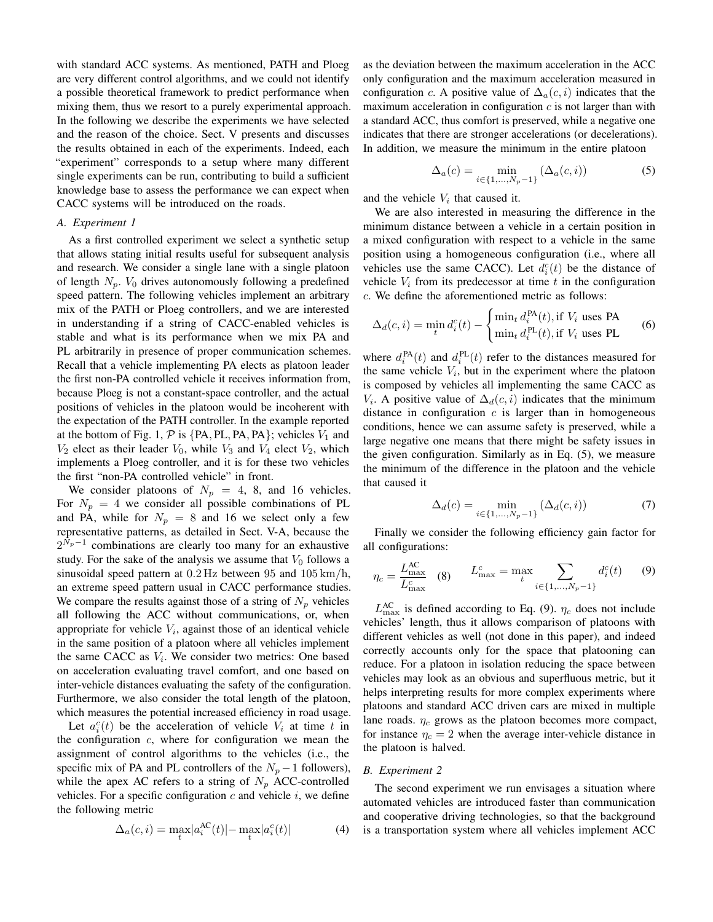with standard ACC systems. As mentioned, PATH and Ploeg are very different control algorithms, and we could not identify a possible theoretical framework to predict performance when mixing them, thus we resort to a purely experimental approach. In the following we describe the experiments we have selected and the reason of the choice. Sect. V presents and discusses the results obtained in each of the experiments. Indeed, each "experiment" corresponds to a setup where many different single experiments can be run, contributing to build a sufficient knowledge base to assess the performance we can expect when CACC systems will be introduced on the roads.

#### *A. Experiment 1*

As a first controlled experiment we select a synthetic setup that allows stating initial results useful for subsequent analysis and research. We consider a single lane with a single platoon of length  $N_p$ .  $V_0$  drives autonomously following a predefined speed pattern. The following vehicles implement an arbitrary mix of the PATH or Ploeg controllers, and we are interested in understanding if a string of CACC-enabled vehicles is stable and what is its performance when we mix PA and PL arbitrarily in presence of proper communication schemes. Recall that a vehicle implementing PA elects as platoon leader the first non-PA controlled vehicle it receives information from, because Ploeg is not a constant-space controller, and the actual positions of vehicles in the platoon would be incoherent with the expectation of the PATH controller. In the example reported at the bottom of Fig. 1,  $P$  is {PA, PL, PA, PA}; vehicles  $V_1$  and  $V_2$  elect as their leader  $V_0$ , while  $V_3$  and  $V_4$  elect  $V_2$ , which implements a Ploeg controller, and it is for these two vehicles the first "non-PA controlled vehicle" in front.

We consider platoons of  $N_p = 4$ , 8, and 16 vehicles. For  $N_p = 4$  we consider all possible combinations of PL and PA, while for  $N_p = 8$  and 16 we select only a few representative patterns, as detailed in Sect. V-A, because the  $2^{N_p-1}$  combinations are clearly too many for an exhaustive study. For the sake of the analysis we assume that  $V_0$  follows a sinusoidal speed pattern at  $0.2$  Hz between 95 and  $105 \text{ km/h}$ , an extreme speed pattern usual in CACC performance studies. We compare the results against those of a string of  $N_p$  vehicles all following the ACC without communications, or, when appropriate for vehicle  $V_i$ , against those of an identical vehicle in the same position of a platoon where all vehicles implement the same CACC as  $V_i$ . We consider two metrics: One based on acceleration evaluating travel comfort, and one based on inter-vehicle distances evaluating the safety of the configuration. Furthermore, we also consider the total length of the platoon, which measures the potential increased efficiency in road usage.

Let  $a_i^c(t)$  be the acceleration of vehicle  $V_i$  at time t in the configuration  $c$ , where for configuration we mean the assignment of control algorithms to the vehicles (i.e., the specific mix of PA and PL controllers of the  $N_p - 1$  followers), while the apex AC refers to a string of  $N_p$  ACC-controlled vehicles. For a specific configuration  $c$  and vehicle  $i$ , we define the following metric

$$
\Delta_a(c, i) = \max_t |a_i^{\text{AC}}(t)| - \max_t |a_i^c(t)| \tag{4}
$$

as the deviation between the maximum acceleration in the ACC only configuration and the maximum acceleration measured in configuration c. A positive value of  $\Delta_a(c, i)$  indicates that the maximum acceleration in configuration  $c$  is not larger than with a standard ACC, thus comfort is preserved, while a negative one indicates that there are stronger accelerations (or decelerations). In addition, we measure the minimum in the entire platoon

$$
\Delta_a(c) = \min_{i \in \{1, ..., N_p - 1\}} (\Delta_a(c, i))
$$
\n(5)

and the vehicle  $V_i$  that caused it.

We are also interested in measuring the difference in the minimum distance between a vehicle in a certain position in a mixed configuration with respect to a vehicle in the same position using a homogeneous configuration (i.e., where all vehicles use the same CACC). Let  $d_i^c(t)$  be the distance of vehicle  $V_i$  from its predecessor at time t in the configuration c. We define the aforementioned metric as follows:

$$
\Delta_d(c, i) = \min_t d_i^c(t) - \begin{cases} \min_t d_i^{\text{PA}}(t), \text{if } V_i \text{ uses PA} \\ \min_t d_i^{\text{PL}}(t), \text{if } V_i \text{ uses PL} \end{cases}
$$
(6)

where  $d_i^{\text{PA}}(t)$  and  $d_i^{\text{PL}}(t)$  refer to the distances measured for the same vehicle  $V_i$ , but in the experiment where the platoon is composed by vehicles all implementing the same CACC as  $V_i$ . A positive value of  $\Delta_d(c, i)$  indicates that the minimum distance in configuration  $c$  is larger than in homogeneous conditions, hence we can assume safety is preserved, while a large negative one means that there might be safety issues in the given configuration. Similarly as in Eq. (5), we measure the minimum of the difference in the platoon and the vehicle that caused it

$$
\Delta_d(c) = \min_{i \in \{1, \dots, N_p - 1\}} (\Delta_d(c, i)) \tag{7}
$$

Finally we consider the following efficiency gain factor for all configurations:

$$
\eta_c = \frac{L_{\text{max}}^{\text{AC}}}{L_{\text{max}}^c} \quad (8) \qquad L_{\text{max}}^c = \max_t \sum_{i \in \{1, \dots, N_p - 1\}} d_i^c(t) \qquad (9)
$$

 $L_{\text{max}}^{\text{AC}}$  is defined according to Eq. (9).  $\eta_c$  does not include vehicles' length, thus it allows comparison of platoons with different vehicles as well (not done in this paper), and indeed correctly accounts only for the space that platooning can reduce. For a platoon in isolation reducing the space between vehicles may look as an obvious and superfluous metric, but it helps interpreting results for more complex experiments where platoons and standard ACC driven cars are mixed in multiple lane roads.  $\eta_c$  grows as the platoon becomes more compact, for instance  $\eta_c = 2$  when the average inter-vehicle distance in the platoon is halved.

#### *B. Experiment 2*

The second experiment we run envisages a situation where automated vehicles are introduced faster than communication and cooperative driving technologies, so that the background is a transportation system where all vehicles implement ACC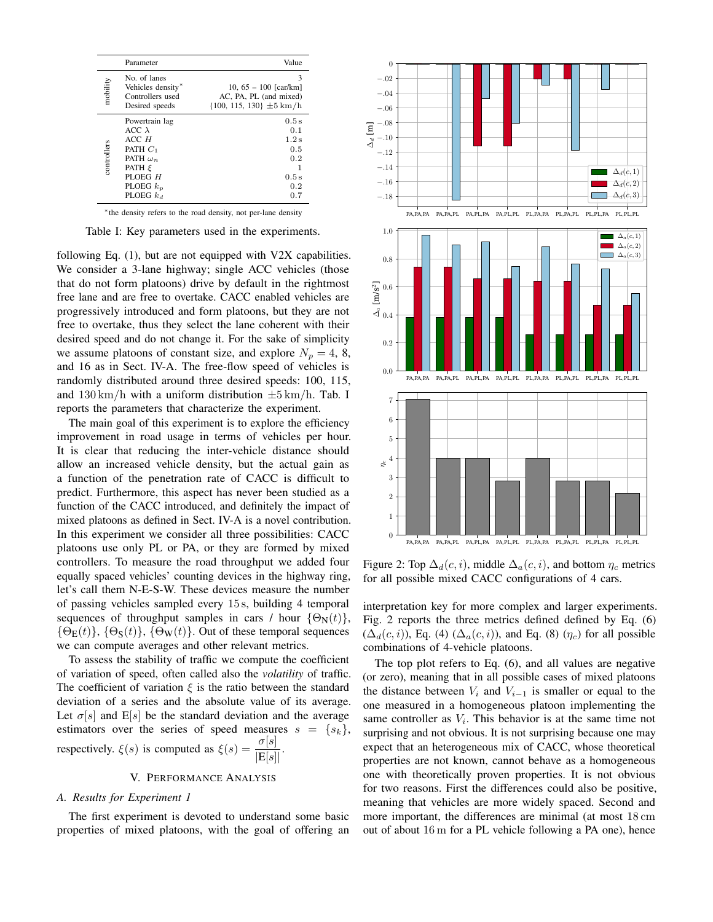|             | Parameter                                                                                                                               | Value                                                                                      |
|-------------|-----------------------------------------------------------------------------------------------------------------------------------------|--------------------------------------------------------------------------------------------|
| mobility    | No. of lanes<br>Vehicles density*<br>Controllers used<br>Desired speeds                                                                 | 3<br>10, $65 - 100$ [car/km]<br>AC, PA, PL (and mixed)<br>$\{100, 115, 130\}$ $\pm 5$ km/h |
| controllers | Powertrain lag<br>$ACC \lambda$<br>ACCH<br>PATH $C_1$<br>PATH $\omega_n$<br>PATH $\varepsilon$<br>PLOEG H<br>PLOEG $k_p$<br>PLOEG $k_d$ | 0.5s<br>0.1<br>1.2s<br>0.5<br>0.2<br>0.5s<br>0.2<br>0.7                                    |

∗ the density refers to the road density, not per-lane density

Table I: Key parameters used in the experiments.

following Eq. (1), but are not equipped with V2X capabilities. We consider a 3-lane highway; single ACC vehicles (those that do not form platoons) drive by default in the rightmost free lane and are free to overtake. CACC enabled vehicles are progressively introduced and form platoons, but they are not free to overtake, thus they select the lane coherent with their desired speed and do not change it. For the sake of simplicity we assume platoons of constant size, and explore  $N_p = 4, 8,$ and 16 as in Sect. IV-A. The free-flow speed of vehicles is randomly distributed around three desired speeds: 100, 115, and  $130 \text{ km/h}$  with a uniform distribution  $\pm 5 \text{ km/h}$ . Tab. I reports the parameters that characterize the experiment.

The main goal of this experiment is to explore the efficiency improvement in road usage in terms of vehicles per hour. It is clear that reducing the inter-vehicle distance should allow an increased vehicle density, but the actual gain as a function of the penetration rate of CACC is difficult to predict. Furthermore, this aspect has never been studied as a function of the CACC introduced, and definitely the impact of mixed platoons as defined in Sect. IV-A is a novel contribution. In this experiment we consider all three possibilities: CACC platoons use only PL or PA, or they are formed by mixed controllers. To measure the road throughput we added four equally spaced vehicles' counting devices in the highway ring, let's call them N-E-S-W. These devices measure the number of passing vehicles sampled every 15 s, building 4 temporal sequences of throughput samples in cars / hour  $\{\Theta_N(t)\},\$  $\{\Theta_{\mathbf{E}}(t)\}, \{\Theta_{\mathbf{S}}(t)\}, \{\Theta_{\mathbf{W}}(t)\}\)$ . Out of these temporal sequences we can compute averages and other relevant metrics.

To assess the stability of traffic we compute the coefficient of variation of speed, often called also the *volatility* of traffic. The coefficient of variation  $\xi$  is the ratio between the standard deviation of a series and the absolute value of its average. Let  $\sigma[s]$  and E[s] be the standard deviation and the average estimators over the series of speed measures  $s = \{s_k\},\$ respectively.  $\xi(s)$  is computed as  $\xi(s) = \frac{\sigma[s]}{s}$  $|E[s]|$ .

## V. PERFORMANCE ANALYSIS

#### *A. Results for Experiment 1*

The first experiment is devoted to understand some basic properties of mixed platoons, with the goal of offering an



Figure 2: Top  $\Delta_d(c, i)$ , middle  $\Delta_a(c, i)$ , and bottom  $\eta_c$  metrics for all possible mixed CACC configurations of 4 cars.

interpretation key for more complex and larger experiments. Fig. 2 reports the three metrics defined defined by Eq. (6)  $(\Delta_d(c, i))$ , Eq. (4)  $(\Delta_a(c, i))$ , and Eq. (8)  $(\eta_c)$  for all possible combinations of 4-vehicle platoons.

The top plot refers to Eq. (6), and all values are negative (or zero), meaning that in all possible cases of mixed platoons the distance between  $V_i$  and  $V_{i-1}$  is smaller or equal to the one measured in a homogeneous platoon implementing the same controller as  $V_i$ . This behavior is at the same time not surprising and not obvious. It is not surprising because one may expect that an heterogeneous mix of CACC, whose theoretical properties are not known, cannot behave as a homogeneous one with theoretically proven properties. It is not obvious for two reasons. First the differences could also be positive, meaning that vehicles are more widely spaced. Second and more important, the differences are minimal (at most 18 cm out of about 16 m for a PL vehicle following a PA one), hence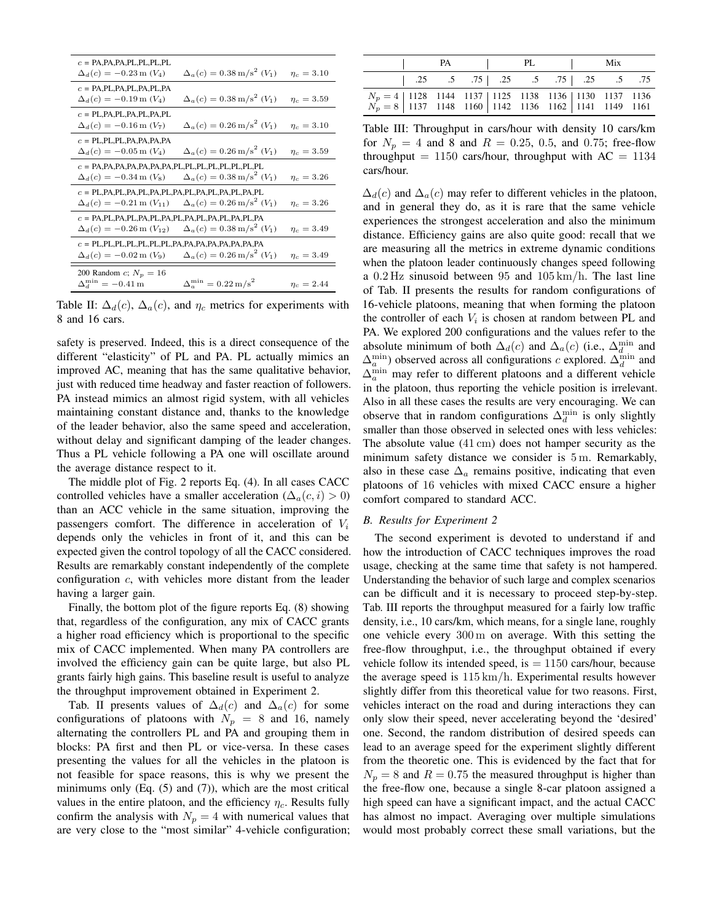| $c = PA$ , $PA$ , $PA$ , $PL$ , $PL$ , $PL$ , $PL$<br>$\Delta_d(c) = -0.23$ m $(V_4)$                                                                                                          | $\Delta_a(c) = 0.38 \,\mathrm{m/s^2}$ (V <sub>1</sub> ) | $\eta_c = 3.10$ |  |  |  |  |  |
|------------------------------------------------------------------------------------------------------------------------------------------------------------------------------------------------|---------------------------------------------------------|-----------------|--|--|--|--|--|
| $c = PA, PL, PA, PL, PA, PL, PA$<br>$\Delta_d(c) = -0.19$ m $(V_4)$                                                                                                                            | $\Delta_a(c) = 0.38 \,\mathrm{m/s}^2$ (V <sub>1</sub> ) | $\eta_c = 3.59$ |  |  |  |  |  |
| $c = PL, PA, PL, PA, PL, PA, PL$<br>$\Delta_d(c) = -0.16$ m $(V_7)$                                                                                                                            | $\Delta_a(c) = 0.26 \,\mathrm{m/s^2}$ (V <sub>1</sub> ) | $\eta_c = 3.10$ |  |  |  |  |  |
| $c = PL, PL, PL, PA, PA, PA, PA$<br>$\Delta_d(c) = -0.05$ m $(V_4)$                                                                                                                            | $\Delta_a(c) = 0.26 \,\mathrm{m/s}^2$ (V <sub>1</sub> ) | $\eta_c = 3.59$ |  |  |  |  |  |
| $c = PA$ , PA, PA, PA, PA, PA, PA, PA, PL, PL, PL, PL, PL, PL, PL, PL, PL<br>$\Delta_d(c) = -0.34 \text{ m } (V_8)$                                                                            | $\Delta_a(c) = 0.38 \,\mathrm{m/s^2}$ (V <sub>1</sub> ) | $\eta_c = 3.26$ |  |  |  |  |  |
| $c = PL$ , PA, PL, PA, PL, PA, PL, PA, PL, PA, PL, PA, PL, PA, PL<br>$\Delta_a(c) = 0.26 \,\mathrm{m/s^2}$ (V <sub>1</sub> )<br>$\Delta_d(c) = -0.21 \,\mathrm{m} (V_{11})$<br>$\eta_c = 3.26$ |                                                         |                 |  |  |  |  |  |
| $c = PA, PL, PA, PL, PA, PL, PA, PL, PA, PL, PA, PL, PA, PL, PA$<br>$\Delta_a(c) = 0.38 \,\mathrm{m/s}^2$ (V <sub>1</sub> )<br>$\Delta_d(c) = -0.26$ m $(V_{12})$<br>$\eta_c = 3.49$           |                                                         |                 |  |  |  |  |  |
| $\Delta_a(c) = 0.26 \,\mathrm{m/s^2}$ (V <sub>1</sub> )<br>$\Delta_d(c) = -0.02 \,\text{m} (V_9)$<br>$\eta_c = 3.49$                                                                           |                                                         |                 |  |  |  |  |  |
| 200 Random <i>c</i> ; $N_p = 16$<br>$\Delta_d^{\min} = -0.41 \,\mathrm{m}$                                                                                                                     | $\Delta_{\rm s}^{\rm min} = 0.22 \,\rm m/s^2$           | $\eta_c = 2.44$ |  |  |  |  |  |

Table II:  $\Delta_d(c)$ ,  $\Delta_a(c)$ , and  $\eta_c$  metrics for experiments with 8 and 16 cars.

safety is preserved. Indeed, this is a direct consequence of the different "elasticity" of PL and PA. PL actually mimics an improved AC, meaning that has the same qualitative behavior, just with reduced time headway and faster reaction of followers. PA instead mimics an almost rigid system, with all vehicles maintaining constant distance and, thanks to the knowledge of the leader behavior, also the same speed and acceleration, without delay and significant damping of the leader changes. Thus a PL vehicle following a PA one will oscillate around the average distance respect to it.

The middle plot of Fig. 2 reports Eq. (4). In all cases CACC controlled vehicles have a smaller acceleration ( $\Delta_a(c, i) > 0$ ) than an ACC vehicle in the same situation, improving the passengers comfort. The difference in acceleration of  $V_i$ depends only the vehicles in front of it, and this can be expected given the control topology of all the CACC considered. Results are remarkably constant independently of the complete configuration c, with vehicles more distant from the leader having a larger gain.

Finally, the bottom plot of the figure reports Eq. (8) showing that, regardless of the configuration, any mix of CACC grants a higher road efficiency which is proportional to the specific mix of CACC implemented. When many PA controllers are involved the efficiency gain can be quite large, but also PL grants fairly high gains. This baseline result is useful to analyze the throughput improvement obtained in Experiment 2.

Tab. II presents values of  $\Delta_d(c)$  and  $\Delta_a(c)$  for some configurations of platoons with  $N_p = 8$  and 16, namely alternating the controllers PL and PA and grouping them in blocks: PA first and then PL or vice-versa. In these cases presenting the values for all the vehicles in the platoon is not feasible for space reasons, this is why we present the minimums only (Eq. (5) and (7)), which are the most critical values in the entire platoon, and the efficiency  $\eta_c$ . Results fully confirm the analysis with  $N_p = 4$  with numerical values that are very close to the "most similar" 4-vehicle configuration;

|                                                                                                                                                                                                    | <b>PA</b> |                                                                                                | PL | Mix |  |
|----------------------------------------------------------------------------------------------------------------------------------------------------------------------------------------------------|-----------|------------------------------------------------------------------------------------------------|----|-----|--|
|                                                                                                                                                                                                    |           | $\begin{array}{ccccccccc} \n & .25 & .5 & .75 & .25 & .5 & .75 & .25 & .5 & .75 \n\end{array}$ |    |     |  |
| $\begin{array}{c c c c c c c c c} N_p = 4 & 1128 & 1144 & 1137 & 1125 & 1138 & 1136 & 1130 & 1137 & 1136 \\ N_p = 8 & 1137 & 1148 & 1160 & 1142 & 1136 & 1162 & 1141 & 1149 & 1161 \\ \end{array}$ |           |                                                                                                |    |     |  |

Table III: Throughput in cars/hour with density 10 cars/km for  $N_p = 4$  and 8 and  $R = 0.25, 0.5,$  and 0.75; free-flow throughput =  $1150$  cars/hour, throughput with AC =  $1134$ cars/hour.

 $\Delta_d(c)$  and  $\Delta_a(c)$  may refer to different vehicles in the platoon, and in general they do, as it is rare that the same vehicle experiences the strongest acceleration and also the minimum distance. Efficiency gains are also quite good: recall that we are measuring all the metrics in extreme dynamic conditions when the platoon leader continuously changes speed following a 0.2 Hz sinusoid between 95 and 105 km/h. The last line of Tab. II presents the results for random configurations of 16-vehicle platoons, meaning that when forming the platoon the controller of each  $V_i$  is chosen at random between PL and PA. We explored 200 configurations and the values refer to the absolute minimum of both  $\Delta_d(c)$  and  $\Delta_a(c)$  (i.e.,  $\Delta_d^{\min}$  and  $\Delta_a^{\min}$ ) observed across all configurations c explored.  $\Delta_d^{\min}$  and  $\Delta_a^{\min}$  may refer to different platoons and a different vehicle in the platoon, thus reporting the vehicle position is irrelevant. Also in all these cases the results are very encouraging. We can observe that in random configurations  $\Delta_d^{\min}$  is only slightly smaller than those observed in selected ones with less vehicles: The absolute value (41 cm) does not hamper security as the minimum safety distance we consider is 5 m. Remarkably, also in these case  $\Delta_a$  remains positive, indicating that even platoons of 16 vehicles with mixed CACC ensure a higher comfort compared to standard ACC.

# *B. Results for Experiment 2*

The second experiment is devoted to understand if and how the introduction of CACC techniques improves the road usage, checking at the same time that safety is not hampered. Understanding the behavior of such large and complex scenarios can be difficult and it is necessary to proceed step-by-step. Tab. III reports the throughput measured for a fairly low traffic density, i.e., 10 cars/km, which means, for a single lane, roughly one vehicle every 300 m on average. With this setting the free-flow throughput, i.e., the throughput obtained if every vehicle follow its intended speed, is  $= 1150$  cars/hour, because the average speed is 115 km/h. Experimental results however slightly differ from this theoretical value for two reasons. First, vehicles interact on the road and during interactions they can only slow their speed, never accelerating beyond the 'desired' one. Second, the random distribution of desired speeds can lead to an average speed for the experiment slightly different from the theoretic one. This is evidenced by the fact that for  $N_p = 8$  and  $R = 0.75$  the measured throughput is higher than the free-flow one, because a single 8-car platoon assigned a high speed can have a significant impact, and the actual CACC has almost no impact. Averaging over multiple simulations would most probably correct these small variations, but the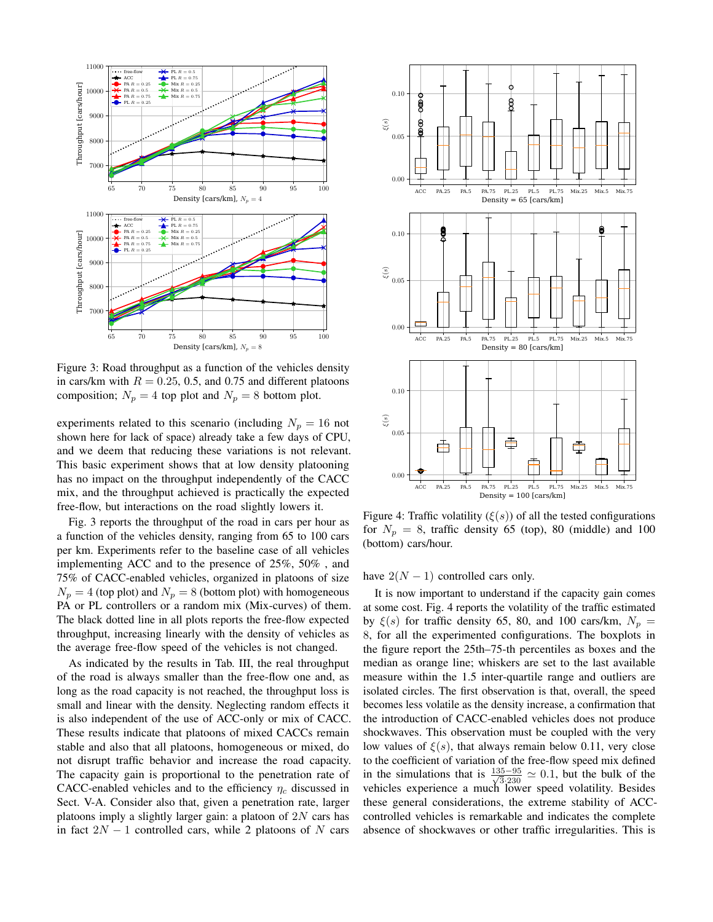

Figure 3: Road throughput as a function of the vehicles density in cars/km with  $R = 0.25, 0.5,$  and 0.75 and different platoons composition;  $N_p = 4$  top plot and  $N_p = 8$  bottom plot.

experiments related to this scenario (including  $N_p = 16$  not shown here for lack of space) already take a few days of CPU, and we deem that reducing these variations is not relevant. This basic experiment shows that at low density platooning has no impact on the throughput independently of the CACC mix, and the throughput achieved is practically the expected free-flow, but interactions on the road slightly lowers it.

Fig. 3 reports the throughput of the road in cars per hour as a function of the vehicles density, ranging from 65 to 100 cars per km. Experiments refer to the baseline case of all vehicles implementing ACC and to the presence of 25%, 50% , and 75% of CACC-enabled vehicles, organized in platoons of size  $N_p = 4$  (top plot) and  $N_p = 8$  (bottom plot) with homogeneous PA or PL controllers or a random mix (Mix-curves) of them. The black dotted line in all plots reports the free-flow expected throughput, increasing linearly with the density of vehicles as the average free-flow speed of the vehicles is not changed.

As indicated by the results in Tab. III, the real throughput of the road is always smaller than the free-flow one and, as long as the road capacity is not reached, the throughput loss is small and linear with the density. Neglecting random effects it is also independent of the use of ACC-only or mix of CACC. These results indicate that platoons of mixed CACCs remain stable and also that all platoons, homogeneous or mixed, do not disrupt traffic behavior and increase the road capacity. The capacity gain is proportional to the penetration rate of CACC-enabled vehicles and to the efficiency  $\eta_c$  discussed in Sect. V-A. Consider also that, given a penetration rate, larger platoons imply a slightly larger gain: a platoon of  $2N$  cars has in fact  $2N - 1$  controlled cars, while 2 platoons of N cars

![](_page_6_Figure_5.jpeg)

Figure 4: Traffic volatility  $(\xi(s))$  of all the tested configurations for  $N_p = 8$ , traffic density 65 (top), 80 (middle) and 100 (bottom) cars/hour.

have  $2(N - 1)$  controlled cars only.

It is now important to understand if the capacity gain comes at some cost. Fig. 4 reports the volatility of the traffic estimated by  $\xi(s)$  for traffic density 65, 80, and 100 cars/km,  $N_p =$ 8, for all the experimented configurations. The boxplots in the figure report the 25th–75-th percentiles as boxes and the median as orange line; whiskers are set to the last available measure within the 1.5 inter-quartile range and outliers are isolated circles. The first observation is that, overall, the speed becomes less volatile as the density increase, a confirmation that the introduction of CACC-enabled vehicles does not produce shockwaves. This observation must be coupled with the very low values of  $\xi(s)$ , that always remain below 0.11, very close to the coefficient of variation of the free-flow speed mix defined in the simulations that is  $\frac{135-95}{\sqrt{3}\cdot 230} \simeq 0.1$ , but the bulk of the vehicles experience a much lower speed volatility. Besides these general considerations, the extreme stability of ACCcontrolled vehicles is remarkable and indicates the complete absence of shockwaves or other traffic irregularities. This is